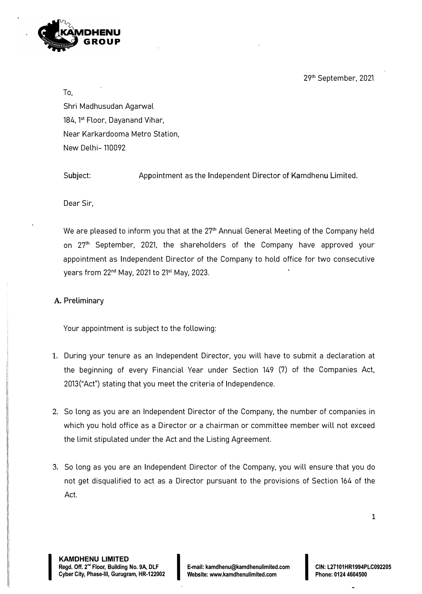29th September, 2021



To,

Shri Madhusudan Agarwal 184, 1<sup>st</sup> Floor, Dayanand Vihar, Near Karkardooma Metro Station, New Delhi- 110092

Subject: Appointment as the Independent Director of Kamdhenu Limited.

Dear Sir,

We are pleased to inform you that at the 27<sup>th</sup> Annual General Meeting of the Company held on 27<sup>th</sup> September, 2021, the shareholders of the Company have approved your appointment as Independent Director of the Company to hold office for two consecutive years from 22nd May, 2021 to 21st May, 2023.

# **A. Preliminary**

Your appointment is subject to the following:

- 1. During your tenure as an Independent Director, you will have to submit a declaration at the beginning of every Financial Year under Section 149 (7) of the Companies Act, 2013("Act") stating that you meet the criteria of Independence.
- 2. So long as you are an Independent Director of the Company, the number of companies in which you hold office as a Director or a chairman or committee member will not exceed the limit stipulated under the Act and the Listing Agreement.
- 3. So long as you are an Independent Director of the Company, you will ensure that you do not get disqualified to act as a Director pursuant to the provisions of Section 164 of the Act.

I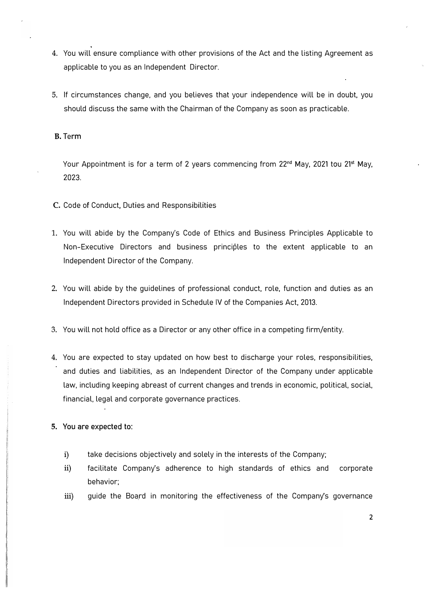- 4. You will ensure compliance with other provisions of the Act and the listing Agreement as applicable to you as an Independent Director.
- 5. If circumstances change, and you believes that your independence will be in doubt, you should discuss the same with the Chairman of the Company as soon as practicable.

## B. Term

Your Appointment is for a term of 2 years commencing from 22<sup>nd</sup> May, 2021 tou 21<sup>st</sup> May, 2023.

- C. Code of Conduct, Duties and Responsibilities
- 1. You will abide by the Company's Code of Ethics and Business Principles Applicable to Non-Executive Directors and business principles to the extent applicable to an Independent Director of the Company.
- 2. You will abide by the guidelines of professional conduct, role, function and duties as an Independent Directors provided in Schedule IV of the Companies Act, 2013.
- 3. You will not hold office as a Director or any other office in a competing firm/entity.
- 4. You are expected to stay updated on how best to discharge your roles, responsibilities, and duties and liabilities, as an Independent Director of the Company under applicable law, including keeping abreast of current changes and trends in economic, political, social, financial, legal and corporate governance practices.
- **5. You are expected to:**
	- i) take decisions objectively and solely in the interests of the Company;
	- ii) facilitate Company's adherence to high standards of ethics and corporate behavior;
	- iii) guide the Board in monitoring the effectiveness of the Company's governance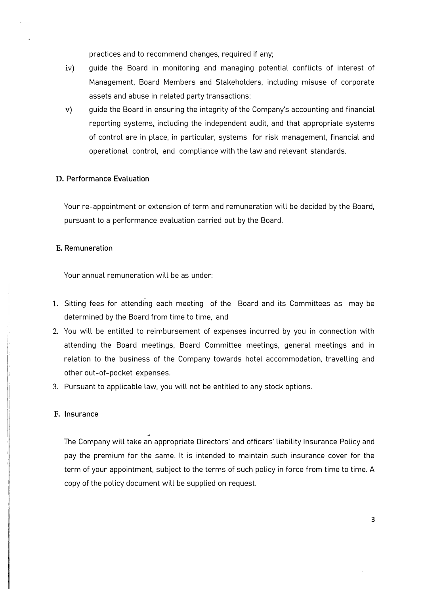practices and to recommend changes, required if any;

- iv) guide the Board in monitoring and managing potential conflicts of interest of Management, Board Members and Stakeholders, including misuse of corporate assets and abuse in related party transactions;
- v) guide the Board in ensuring the integrity of the Company's accounting and financial reporting systems, including the independent audit, and that appropriate systems of control are in place, in particular, systems for risk management, financial and operational control, and compliance with the law and relevant standards.

### **D. Performance Evaluation**

Your re-appointment or extension of term and remuneration will be decided by the Board, pursuant to a performance evaluation carried out by the Board.

#### **E. Remuneration**

Your annual remuneration will be as under:

- 1. Sitting fees for attending each meeting of the Board and its Committees as may be determined by the Board from time to time, and
- 2. You will be entitled to reimbursement of expenses incurred by you in connection with attending the Board meetings, Board Committee meetings, general meetings and in relation to the business of the Company towards hotel accommodation, travelling and other out-of-pocket expenses.
- 3. Pursuant to applicable law, you will not be entitled to any stock options.

#### **F. Insurance**

The Company will take an appropriate Directors' and officers' liability Insurance Policy and pay the premium for the same. It is intended to maintain such insurance cover for the term of your appointment, subject to the terms of such policy in force from time to time. A copy of the policy document will be supplied on request.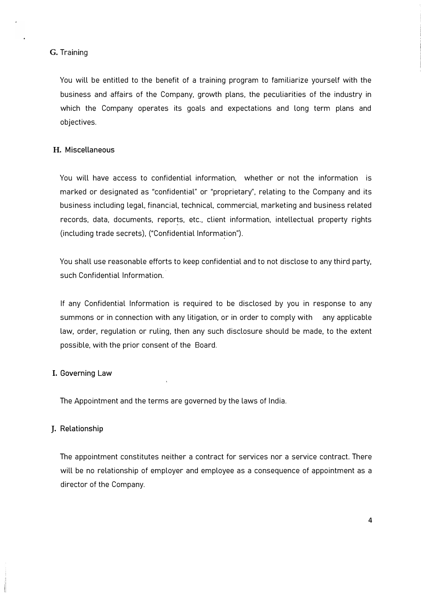### G. Training

You will be entitled to the benefit of a training program to familiarize yourself with the business and affairs of the Company, growth plans, the peculiarities of the industry in which the Company operates its goals and expectations and long term plans and objectives.

## **H. Miscellaneous**

You will have access to confidential information, whether or not the information is marked or designated as "confidential" or "proprietary", relating to the Company and its business including legal, financial, technical, commercial, marketing and business related records, data, documents, reports, etc., client information, intellectual property rights (including trade secrets), ("Confidential Information").

You shall use reasonable efforts to keep confidential and to not disclose to any third party, such Confidential Information.

If any Confidential Information is required to be disclosed by you in response to any summons or in connection with any litigation, or in order to comply with any applicable law, order, regulation or ruling, then any such disclosure should be made, to the extent possible, with the prior consent of the Board.

## I. **Governing Law**

The Appointment and the terms are governed by the laws of India.

## **J. Relationship**

The appointment constitutes neither a contract for services nor a service contract. There will be no relationship of employer and employee as a consequence of appointment as a director of the Company.